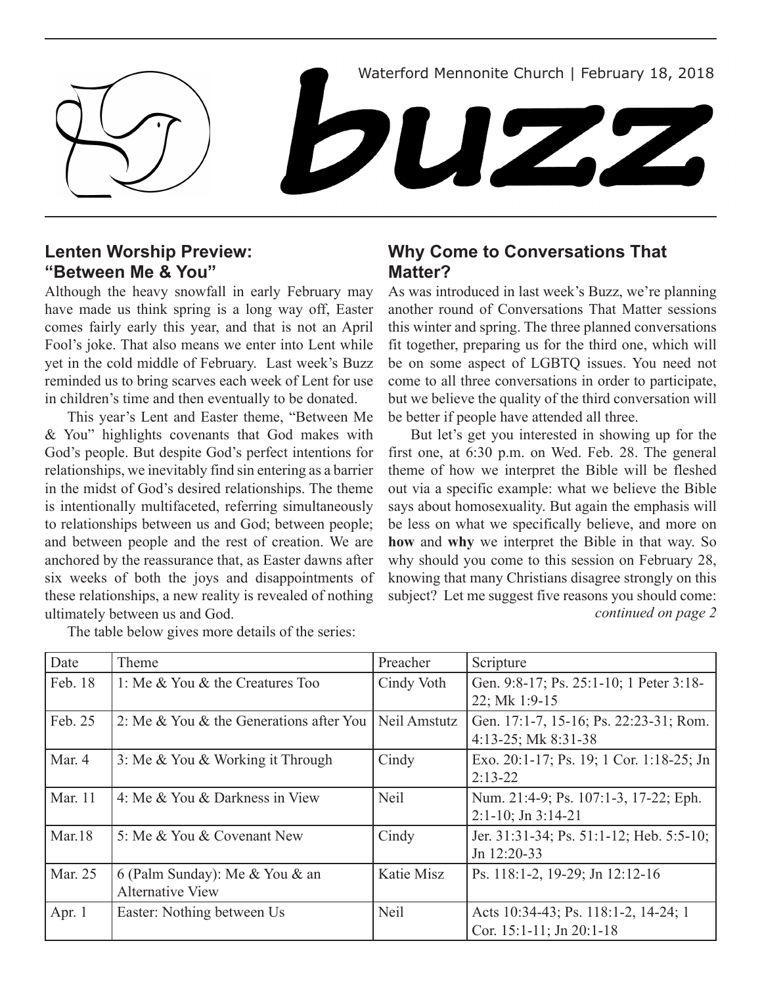Waterford Mennonite Church | February 18, 2018

 $\blacksquare$ 

#### **Lenten Worship Preview: "Between Me & You"**

Although the heavy snowfall in early February may have made us think spring is a long way off, Easter comes fairly early this year, and that is not an April Fool's joke. That also means we enter into Lent while yet in the cold middle of February. Last week's Buzz reminded us to bring scarves each week of Lent for use in children's time and then eventually to be donated.

This year's Lent and Easter theme, "Between Me & You" highlights covenants that God makes with God's people. But despite God's perfect intentions for relationships, we inevitably find sin entering as a barrier in the midst of God's desired relationships. The theme is intentionally multifaceted, referring simultaneously to relationships between us and God; between people; and between people and the rest of creation. We are anchored by the reassurance that, as Easter dawns after six weeks of both the joys and disappointments of these relationships, a new reality is revealed of nothing ultimately between us and God.

The table below gives more details of the series:

### **Why Come to Conversations That Matter?**

As was introduced in last week's Buzz, we're planning another round of Conversations That Matter sessions this winter and spring. The three planned conversations fit together, preparing us for the third one, which will be on some aspect of LGBTQ issues. You need not come to all three conversations in order to participate, but we believe the quality of the third conversation will be better if people have attended all three.

But let's get you interested in showing up for the first one, at 6:30 p.m. on Wed. Feb. 28. The general theme of how we interpret the Bible will be fleshed out via a specific example: what we believe the Bible says about homosexuality. But again the emphasis will be less on what we specifically believe, and more on **how** and **why** we interpret the Bible in that way. So why should you come to this session on February 28, knowing that many Christians disagree strongly on this subject? Let me suggest five reasons you should come: *continued on page 2*

| Date     | Theme                                   | Preacher     | Scripture                                |
|----------|-----------------------------------------|--------------|------------------------------------------|
| Feb. 18  | 1: Me & You & the Creatures Too         | Cindy Voth   | Gen. 9:8-17; Ps. 25:1-10; 1 Peter 3:18-  |
|          |                                         |              | 22; Mk 1:9-15                            |
| Feb. 25  | 2: Me & You & the Generations after You | Neil Amstutz | Gen. 17:1-7, 15-16; Ps. 22:23-31; Rom.   |
|          |                                         |              | $4:13-25$ ; Mk $8:31-38$                 |
| Mar. 4   | 3: Me & You & Working it Through        | Cindy        | Exo. 20:1-17; Ps. 19; 1 Cor. 1:18-25; Jn |
|          |                                         |              | $2:13-22$                                |
| Mar. 11  | 4: Me & You & Darkness in View          | <b>Neil</b>  | Num. 21:4-9; Ps. 107:1-3, 17-22; Eph.    |
|          |                                         |              | $2:1-10$ ; Jn $3:14-21$                  |
| Mar.18   | 5: Me & You & Covenant New              | Cindy        | Jer. 31:31-34; Ps. 51:1-12; Heb. 5:5-10; |
|          |                                         |              | Jn $12:20-33$                            |
| Mar. 25  | 6 (Palm Sunday): Me & You & an          | Katie Misz   | Ps. 118:1-2, 19-29; Jn 12:12-16          |
|          | <b>Alternative View</b>                 |              |                                          |
| Apr. $1$ | Easter: Nothing between Us              | <b>Neil</b>  | Acts 10:34-43; Ps. 118:1-2, 14-24; 1     |
|          |                                         |              | Cor. 15:1-11; Jn 20:1-18                 |

Z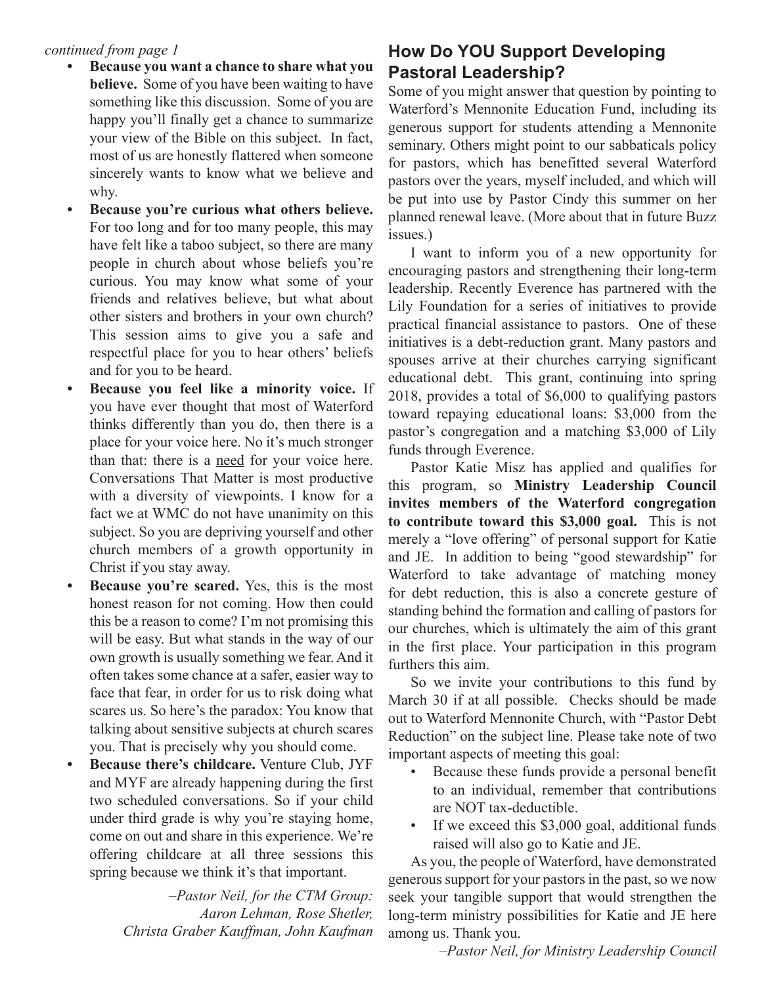- **• Because you want a chance to share what you believe.** Some of you have been waiting to have something like this discussion. Some of you are happy you'll finally get a chance to summarize your view of the Bible on this subject. In fact, most of us are honestly flattered when someone sincerely wants to know what we believe and why.
- **• Because you're curious what others believe.** For too long and for too many people, this may have felt like a taboo subject, so there are many people in church about whose beliefs you're curious. You may know what some of your friends and relatives believe, but what about other sisters and brothers in your own church? This session aims to give you a safe and respectful place for you to hear others' beliefs and for you to be heard.
- **• Because you feel like a minority voice.** If you have ever thought that most of Waterford thinks differently than you do, then there is a place for your voice here. No it's much stronger than that: there is a need for your voice here. Conversations That Matter is most productive with a diversity of viewpoints. I know for a fact we at WMC do not have unanimity on this subject. So you are depriving yourself and other church members of a growth opportunity in Christ if you stay away.
- **Because you're scared.** Yes, this is the most honest reason for not coming. How then could this be a reason to come? I'm not promising this will be easy. But what stands in the way of our own growth is usually something we fear. And it often takes some chance at a safer, easier way to face that fear, in order for us to risk doing what scares us. So here's the paradox: You know that talking about sensitive subjects at church scares you. That is precisely why you should come.
- **Because there's childcare.** Venture Club, JYF and MYF are already happening during the first two scheduled conversations. So if your child under third grade is why you're staying home, come on out and share in this experience. We're offering childcare at all three sessions this spring because we think it's that important.

*–Pastor Neil, for the CTM Group: Aaron Lehman, Rose Shetler, Christa Graber Kauffman, John Kaufman*

# *continued from page 1* **How Do YOU Support Developing Pastoral Leadership?**

Some of you might answer that question by pointing to Waterford's Mennonite Education Fund, including its generous support for students attending a Mennonite seminary. Others might point to our sabbaticals policy for pastors, which has benefitted several Waterford pastors over the years, myself included, and which will be put into use by Pastor Cindy this summer on her planned renewal leave. (More about that in future Buzz issues.)

I want to inform you of a new opportunity for encouraging pastors and strengthening their long-term leadership. Recently Everence has partnered with the Lily Foundation for a series of initiatives to provide practical financial assistance to pastors. One of these initiatives is a debt-reduction grant. Many pastors and spouses arrive at their churches carrying significant educational debt. This grant, continuing into spring 2018, provides a total of \$6,000 to qualifying pastors toward repaying educational loans: \$3,000 from the pastor's congregation and a matching \$3,000 of Lily funds through Everence.

Pastor Katie Misz has applied and qualifies for this program, so **Ministry Leadership Council invites members of the Waterford congregation to contribute toward this \$3,000 goal.** This is not merely a "love offering" of personal support for Katie and JE. In addition to being "good stewardship" for Waterford to take advantage of matching money for debt reduction, this is also a concrete gesture of standing behind the formation and calling of pastors for our churches, which is ultimately the aim of this grant in the first place. Your participation in this program furthers this aim.

So we invite your contributions to this fund by March 30 if at all possible. Checks should be made out to Waterford Mennonite Church, with "Pastor Debt Reduction" on the subject line. Please take note of two important aspects of meeting this goal:

- Because these funds provide a personal benefit to an individual, remember that contributions are NOT tax-deductible.
- If we exceed this \$3,000 goal, additional funds raised will also go to Katie and JE.

As you, the people of Waterford, have demonstrated generous support for your pastors in the past, so we now seek your tangible support that would strengthen the long-term ministry possibilities for Katie and JE here among us. Thank you.

*–Pastor Neil, for Ministry Leadership Council*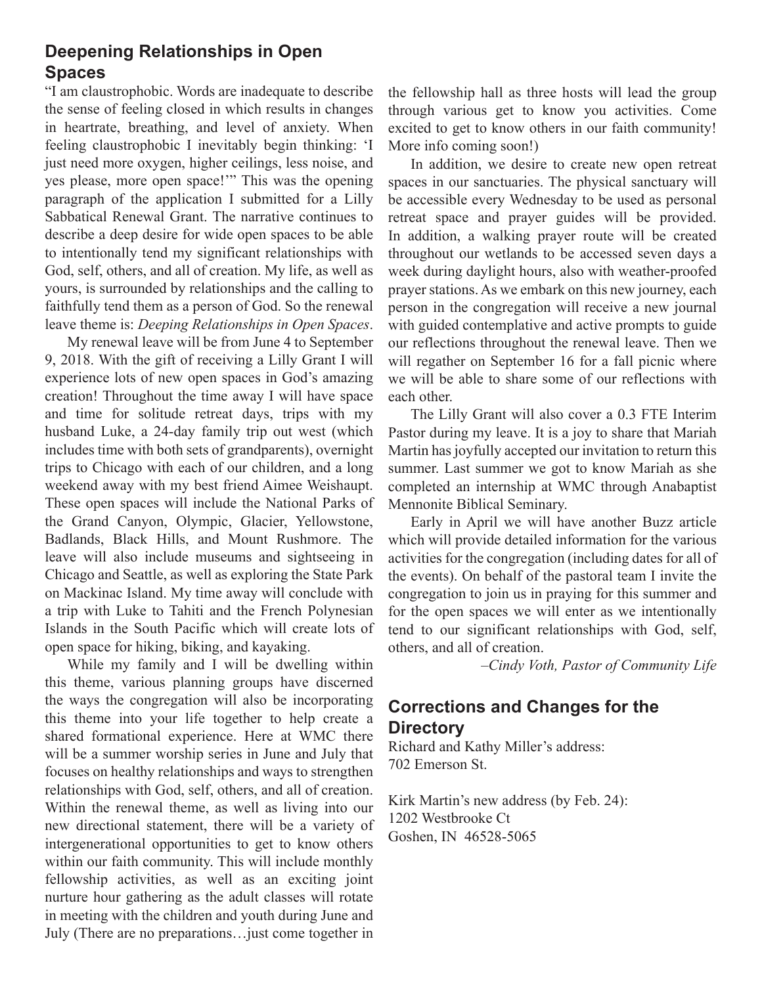### **Deepening Relationships in Open Spaces**

"I am claustrophobic. Words are inadequate to describe the sense of feeling closed in which results in changes in heartrate, breathing, and level of anxiety. When feeling claustrophobic I inevitably begin thinking: 'I just need more oxygen, higher ceilings, less noise, and yes please, more open space!'" This was the opening paragraph of the application I submitted for a Lilly Sabbatical Renewal Grant. The narrative continues to describe a deep desire for wide open spaces to be able to intentionally tend my significant relationships with God, self, others, and all of creation. My life, as well as yours, is surrounded by relationships and the calling to faithfully tend them as a person of God. So the renewal leave theme is: *Deeping Relationships in Open Spaces*.

My renewal leave will be from June 4 to September 9, 2018. With the gift of receiving a Lilly Grant I will experience lots of new open spaces in God's amazing creation! Throughout the time away I will have space and time for solitude retreat days, trips with my husband Luke, a 24-day family trip out west (which includes time with both sets of grandparents), overnight trips to Chicago with each of our children, and a long weekend away with my best friend Aimee Weishaupt. These open spaces will include the National Parks of the Grand Canyon, Olympic, Glacier, Yellowstone, Badlands, Black Hills, and Mount Rushmore. The leave will also include museums and sightseeing in Chicago and Seattle, as well as exploring the State Park on Mackinac Island. My time away will conclude with a trip with Luke to Tahiti and the French Polynesian Islands in the South Pacific which will create lots of open space for hiking, biking, and kayaking.

While my family and I will be dwelling within this theme, various planning groups have discerned the ways the congregation will also be incorporating this theme into your life together to help create a shared formational experience. Here at WMC there will be a summer worship series in June and July that focuses on healthy relationships and ways to strengthen relationships with God, self, others, and all of creation. Within the renewal theme, as well as living into our new directional statement, there will be a variety of intergenerational opportunities to get to know others within our faith community. This will include monthly fellowship activities, as well as an exciting joint nurture hour gathering as the adult classes will rotate in meeting with the children and youth during June and July (There are no preparations…just come together in

the fellowship hall as three hosts will lead the group through various get to know you activities. Come excited to get to know others in our faith community! More info coming soon!)

In addition, we desire to create new open retreat spaces in our sanctuaries. The physical sanctuary will be accessible every Wednesday to be used as personal retreat space and prayer guides will be provided. In addition, a walking prayer route will be created throughout our wetlands to be accessed seven days a week during daylight hours, also with weather-proofed prayer stations. As we embark on this new journey, each person in the congregation will receive a new journal with guided contemplative and active prompts to guide our reflections throughout the renewal leave. Then we will regather on September 16 for a fall picnic where we will be able to share some of our reflections with each other.

The Lilly Grant will also cover a 0.3 FTE Interim Pastor during my leave. It is a joy to share that Mariah Martin has joyfully accepted our invitation to return this summer. Last summer we got to know Mariah as she completed an internship at WMC through Anabaptist Mennonite Biblical Seminary.

Early in April we will have another Buzz article which will provide detailed information for the various activities for the congregation (including dates for all of the events). On behalf of the pastoral team I invite the congregation to join us in praying for this summer and for the open spaces we will enter as we intentionally tend to our significant relationships with God, self, others, and all of creation.

*–Cindy Voth, Pastor of Community Life*

# **Corrections and Changes for the Directory**

Richard and Kathy Miller's address: 702 Emerson St.

Kirk Martin's new address (by Feb. 24): 1202 Westbrooke Ct Goshen, IN 46528-5065